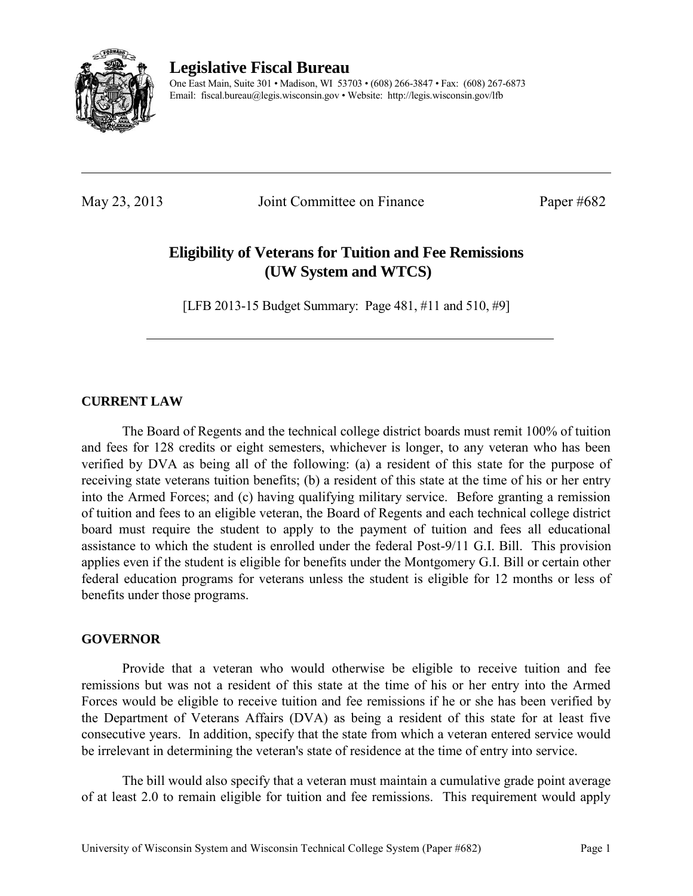

**Legislative Fiscal Bureau** 

One East Main, Suite 301 • Madison, WI 53703 • (608) 266-3847 • Fax: (608) 267-6873 Email: fiscal.bureau@legis.wisconsin.gov • Website:<http://legis.wisconsin.gov/lfb>

May 23, 2013 Joint Committee on Finance Paper #682

# **Eligibility of Veterans for Tuition and Fee Remissions (UW System and WTCS)**

[LFB 2013-15 Budget Summary: Page 481, #11 and 510, #9]

# **CURRENT LAW**

 The Board of Regents and the technical college district boards must remit 100% of tuition and fees for 128 credits or eight semesters, whichever is longer, to any veteran who has been verified by DVA as being all of the following: (a) a resident of this state for the purpose of receiving state veterans tuition benefits; (b) a resident of this state at the time of his or her entry into the Armed Forces; and (c) having qualifying military service. Before granting a remission of tuition and fees to an eligible veteran, the Board of Regents and each technical college district board must require the student to apply to the payment of tuition and fees all educational assistance to which the student is enrolled under the federal Post-9/11 G.I. Bill. This provision applies even if the student is eligible for benefits under the Montgomery G.I. Bill or certain other federal education programs for veterans unless the student is eligible for 12 months or less of benefits under those programs.

# **GOVERNOR**

 Provide that a veteran who would otherwise be eligible to receive tuition and fee remissions but was not a resident of this state at the time of his or her entry into the Armed Forces would be eligible to receive tuition and fee remissions if he or she has been verified by the Department of Veterans Affairs (DVA) as being a resident of this state for at least five consecutive years. In addition, specify that the state from which a veteran entered service would be irrelevant in determining the veteran's state of residence at the time of entry into service.

 The bill would also specify that a veteran must maintain a cumulative grade point average of at least 2.0 to remain eligible for tuition and fee remissions. This requirement would apply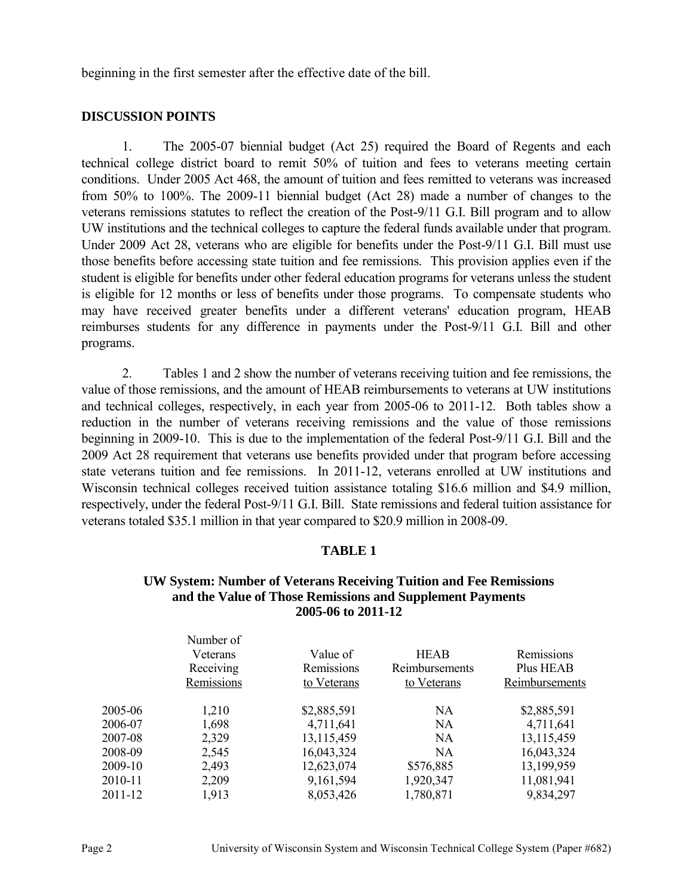beginning in the first semester after the effective date of the bill.

## **DISCUSSION POINTS**

1. The 2005-07 biennial budget (Act 25) required the Board of Regents and each technical college district board to remit 50% of tuition and fees to veterans meeting certain conditions. Under 2005 Act 468, the amount of tuition and fees remitted to veterans was increased from 50% to 100%. The 2009-11 biennial budget (Act 28) made a number of changes to the veterans remissions statutes to reflect the creation of the Post-9/11 G.I. Bill program and to allow UW institutions and the technical colleges to capture the federal funds available under that program. Under 2009 Act 28, veterans who are eligible for benefits under the Post-9/11 G.I. Bill must use those benefits before accessing state tuition and fee remissions. This provision applies even if the student is eligible for benefits under other federal education programs for veterans unless the student is eligible for 12 months or less of benefits under those programs. To compensate students who may have received greater benefits under a different veterans' education program, HEAB reimburses students for any difference in payments under the Post-9/11 G.I. Bill and other programs.

2. Tables 1 and 2 show the number of veterans receiving tuition and fee remissions, the value of those remissions, and the amount of HEAB reimbursements to veterans at UW institutions and technical colleges, respectively, in each year from 2005-06 to 2011-12. Both tables show a reduction in the number of veterans receiving remissions and the value of those remissions beginning in 2009-10. This is due to the implementation of the federal Post-9/11 G.I. Bill and the 2009 Act 28 requirement that veterans use benefits provided under that program before accessing state veterans tuition and fee remissions. In 2011-12, veterans enrolled at UW institutions and Wisconsin technical colleges received tuition assistance totaling \$16.6 million and \$4.9 million, respectively, under the federal Post-9/11 G.I. Bill. State remissions and federal tuition assistance for veterans totaled \$35.1 million in that year compared to \$20.9 million in 2008-09.

## **TABLE 1**

## **UW System: Number of Veterans Receiving Tuition and Fee Remissions and the Value of Those Remissions and Supplement Payments 2005-06 to 2011-12**

|         | Number of<br>Veterans<br>Receiving<br>Remissions | Value of<br>Remissions<br>to Veterans | <b>HEAB</b><br>Reimbursements<br>to Veterans | Remissions<br>Plus HEAB<br>Reimbursements |
|---------|--------------------------------------------------|---------------------------------------|----------------------------------------------|-------------------------------------------|
|         |                                                  |                                       |                                              |                                           |
| 2005-06 | 1,210                                            | \$2,885,591                           | NA                                           | \$2,885,591                               |
| 2006-07 | 1,698                                            | 4,711,641                             | NA                                           | 4,711,641                                 |
| 2007-08 | 2,329                                            | 13,115,459                            | NA                                           | 13,115,459                                |
| 2008-09 | 2,545                                            | 16,043,324                            | <b>NA</b>                                    | 16,043,324                                |
| 2009-10 | 2,493                                            | 12,623,074                            | \$576,885                                    | 13,199,959                                |
| 2010-11 | 2,209                                            | 9,161,594                             | 1,920,347                                    | 11,081,941                                |
| 2011-12 | 1,913                                            | 8,053,426                             | 1,780,871                                    | 9,834,297                                 |
|         |                                                  |                                       |                                              |                                           |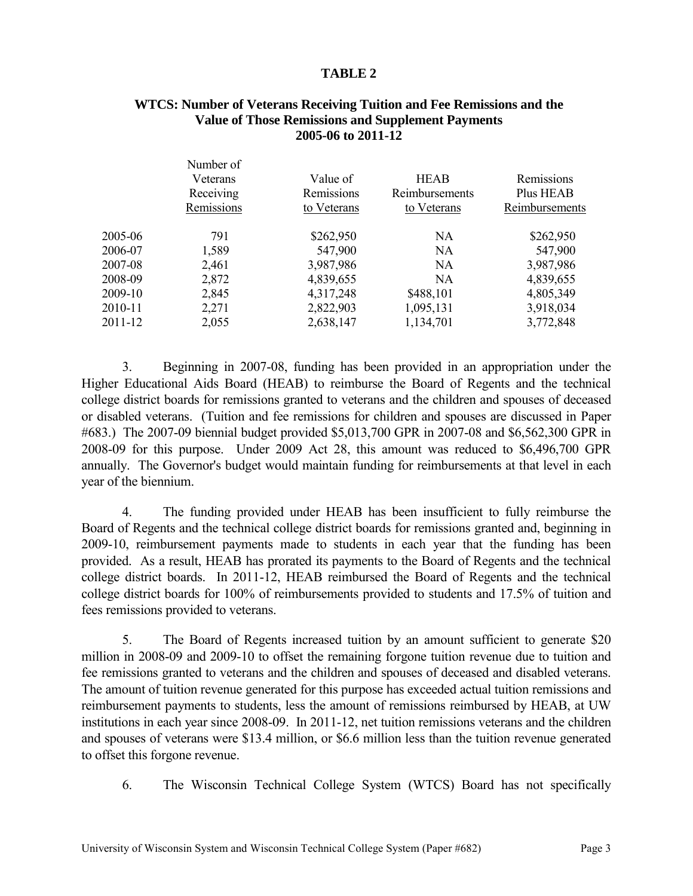## **TABLE 2**

## **WTCS: Number of Veterans Receiving Tuition and Fee Remissions and the Value of Those Remissions and Supplement Payments 2005-06 to 2011-12**

|         | Number of<br>Veterans<br>Receiving<br>Remissions | Value of<br>Remissions<br>to Veterans | <b>HEAB</b><br>Reimbursements<br>to Veterans | Remissions<br>Plus HEAB<br>Reimbursements |
|---------|--------------------------------------------------|---------------------------------------|----------------------------------------------|-------------------------------------------|
| 2005-06 | 791                                              | \$262,950                             | <b>NA</b>                                    | \$262,950                                 |
| 2006-07 | 1,589                                            | 547,900                               | <b>NA</b>                                    | 547,900                                   |
| 2007-08 | 2,461                                            | 3,987,986                             | <b>NA</b>                                    | 3,987,986                                 |
| 2008-09 | 2,872                                            | 4,839,655                             | <b>NA</b>                                    | 4,839,655                                 |
| 2009-10 | 2,845                                            | 4,317,248                             | \$488,101                                    | 4,805,349                                 |
| 2010-11 | 2,271                                            | 2,822,903                             | 1,095,131                                    | 3,918,034                                 |
| 2011-12 | 2,055                                            | 2,638,147                             | 1,134,701                                    | 3,772,848                                 |
|         |                                                  |                                       |                                              |                                           |

3. Beginning in 2007-08, funding has been provided in an appropriation under the Higher Educational Aids Board (HEAB) to reimburse the Board of Regents and the technical college district boards for remissions granted to veterans and the children and spouses of deceased or disabled veterans. (Tuition and fee remissions for children and spouses are discussed in Paper #683.) The 2007-09 biennial budget provided \$5,013,700 GPR in 2007-08 and \$6,562,300 GPR in 2008-09 for this purpose. Under 2009 Act 28, this amount was reduced to \$6,496,700 GPR annually. The Governor's budget would maintain funding for reimbursements at that level in each year of the biennium.

4. The funding provided under HEAB has been insufficient to fully reimburse the Board of Regents and the technical college district boards for remissions granted and, beginning in 2009-10, reimbursement payments made to students in each year that the funding has been provided. As a result, HEAB has prorated its payments to the Board of Regents and the technical college district boards. In 2011-12, HEAB reimbursed the Board of Regents and the technical college district boards for 100% of reimbursements provided to students and 17.5% of tuition and fees remissions provided to veterans.

5. The Board of Regents increased tuition by an amount sufficient to generate \$20 million in 2008-09 and 2009-10 to offset the remaining forgone tuition revenue due to tuition and fee remissions granted to veterans and the children and spouses of deceased and disabled veterans. The amount of tuition revenue generated for this purpose has exceeded actual tuition remissions and reimbursement payments to students, less the amount of remissions reimbursed by HEAB, at UW institutions in each year since 2008-09. In 2011-12, net tuition remissions veterans and the children and spouses of veterans were \$13.4 million, or \$6.6 million less than the tuition revenue generated to offset this forgone revenue.

6. The Wisconsin Technical College System (WTCS) Board has not specifically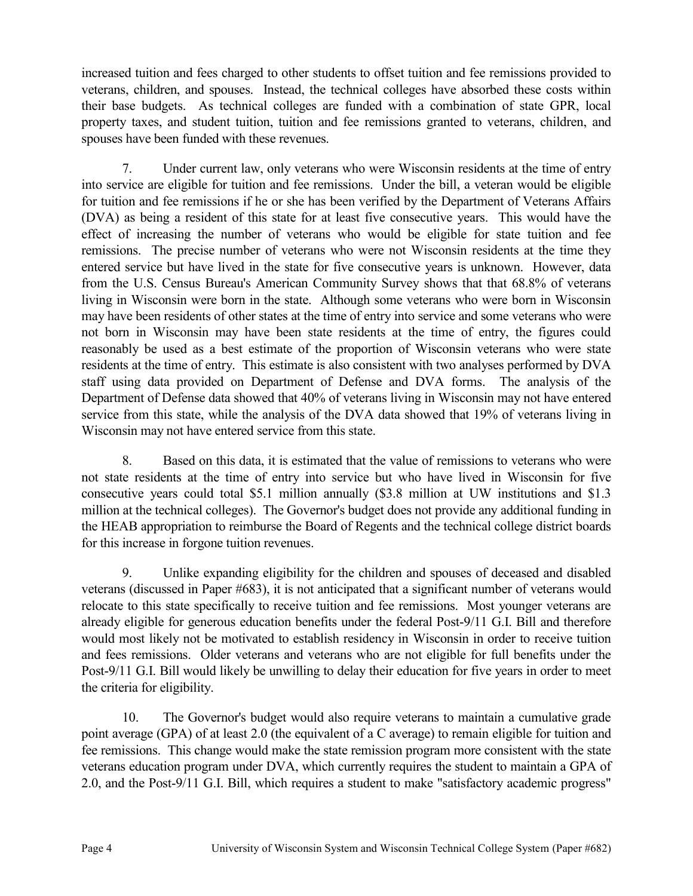increased tuition and fees charged to other students to offset tuition and fee remissions provided to veterans, children, and spouses. Instead, the technical colleges have absorbed these costs within their base budgets. As technical colleges are funded with a combination of state GPR, local property taxes, and student tuition, tuition and fee remissions granted to veterans, children, and spouses have been funded with these revenues.

7. Under current law, only veterans who were Wisconsin residents at the time of entry into service are eligible for tuition and fee remissions. Under the bill, a veteran would be eligible for tuition and fee remissions if he or she has been verified by the Department of Veterans Affairs (DVA) as being a resident of this state for at least five consecutive years. This would have the effect of increasing the number of veterans who would be eligible for state tuition and fee remissions. The precise number of veterans who were not Wisconsin residents at the time they entered service but have lived in the state for five consecutive years is unknown. However, data from the U.S. Census Bureau's American Community Survey shows that that 68.8% of veterans living in Wisconsin were born in the state. Although some veterans who were born in Wisconsin may have been residents of other states at the time of entry into service and some veterans who were not born in Wisconsin may have been state residents at the time of entry, the figures could reasonably be used as a best estimate of the proportion of Wisconsin veterans who were state residents at the time of entry. This estimate is also consistent with two analyses performed by DVA staff using data provided on Department of Defense and DVA forms. The analysis of the Department of Defense data showed that 40% of veterans living in Wisconsin may not have entered service from this state, while the analysis of the DVA data showed that 19% of veterans living in Wisconsin may not have entered service from this state.

8. Based on this data, it is estimated that the value of remissions to veterans who were not state residents at the time of entry into service but who have lived in Wisconsin for five consecutive years could total \$5.1 million annually (\$3.8 million at UW institutions and \$1.3 million at the technical colleges). The Governor's budget does not provide any additional funding in the HEAB appropriation to reimburse the Board of Regents and the technical college district boards for this increase in forgone tuition revenues.

9. Unlike expanding eligibility for the children and spouses of deceased and disabled veterans (discussed in Paper #683), it is not anticipated that a significant number of veterans would relocate to this state specifically to receive tuition and fee remissions. Most younger veterans are already eligible for generous education benefits under the federal Post-9/11 G.I. Bill and therefore would most likely not be motivated to establish residency in Wisconsin in order to receive tuition and fees remissions. Older veterans and veterans who are not eligible for full benefits under the Post-9/11 G.I. Bill would likely be unwilling to delay their education for five years in order to meet the criteria for eligibility.

10. The Governor's budget would also require veterans to maintain a cumulative grade point average (GPA) of at least 2.0 (the equivalent of a C average) to remain eligible for tuition and fee remissions. This change would make the state remission program more consistent with the state veterans education program under DVA, which currently requires the student to maintain a GPA of 2.0, and the Post-9/11 G.I. Bill, which requires a student to make "satisfactory academic progress"